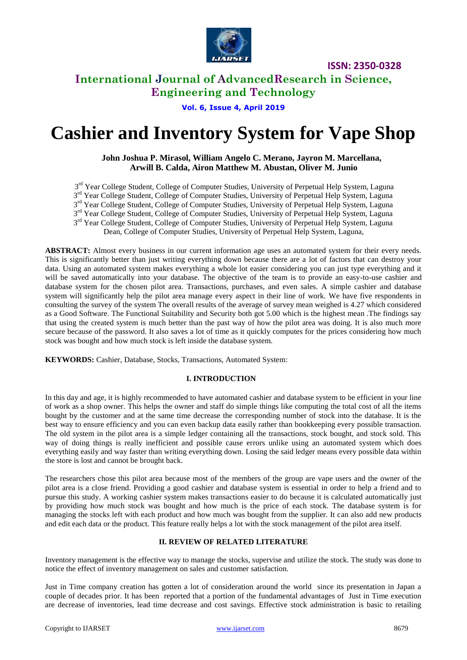

# **International Journal of AdvancedResearch in Science, Engineering and Technology**

**Vol. 6, Issue 4, April 2019**

# **Cashier and Inventory System for Vape Shop**

### **John Joshua P. Mirasol, William Angelo C. Merano, Jayron M. Marcellana, Arwill B. Calda, Airon Matthew M. Abustan, Oliver M. Junio**

3<sup>rd</sup> Year College Student, College of Computer Studies, University of Perpetual Help System, Laguna 3<sup>rd</sup> Year College Student, College of Computer Studies, University of Perpetual Help System, Laguna 3<sup>rd</sup> Year College Student, College of Computer Studies, University of Perpetual Help System, Laguna 3<sup>rd</sup> Year College Student, College of Computer Studies, University of Perpetual Help System, Laguna 3<sup>rd</sup> Year College Student, College of Computer Studies, University of Perpetual Help System, Laguna

Dean, College of Computer Studies, University of Perpetual Help System, Laguna,

**ABSTRACT:** Almost every business in our current information age uses an automated system for their every needs. This is significantly better than just writing everything down because there are a lot of factors that can destroy your data. Using an automated system makes everything a whole lot easier considering you can just type everything and it will be saved automatically into your database. The objective of the team is to provide an easy-to-use cashier and database system for the chosen pilot area. Transactions, purchases, and even sales. A simple cashier and database system will significantly help the pilot area manage every aspect in their line of work. We have five respondents in consulting the survey of the system The overall results of the average of survey mean weighed is 4.27 which considered as a Good Software. The Functional Suitability and Security both got 5.00 which is the highest mean .The findings say that using the created system is much better than the past way of how the pilot area was doing. It is also much more secure because of the password. It also saves a lot of time as it quickly computes for the prices considering how much stock was bought and how much stock is left inside the database system.

**KEYWORDS:** Cashier, Database, Stocks, Transactions, Automated System:

#### **I. INTRODUCTION**

In this day and age, it is highly recommended to have automated cashier and database system to be efficient in your line of work as a shop owner. This helps the owner and staff do simple things like computing the total cost of all the items bought by the customer and at the same time decrease the corresponding number of stock into the database. It is the best way to ensure efficiency and you can even backup data easily rather than bookkeeping every possible transaction. The old system in the pilot area is a simple ledger containing all the transactions, stock bought, and stock sold. This way of doing things is really inefficient and possible cause errors unlike using an automated system which does everything easily and way faster than writing everything down. Losing the said ledger means every possible data within the store is lost and cannot be brought back.

The researchers chose this pilot area because most of the members of the group are vape users and the owner of the pilot area is a close friend. Providing a good cashier and database system is essential in order to help a friend and to pursue this study. A working cashier system makes transactions easier to do because it is calculated automatically just by providing how much stock was bought and how much is the price of each stock. The database system is for managing the stocks left with each product and how much was bought from the supplier. It can also add new products and edit each data or the product. This feature really helps a lot with the stock management of the pilot area itself.

#### **II. REVIEW OF RELATED LITERATURE**

Inventory management is the effective way to manage the stocks, supervise and utilize the stock. The study was done to notice the effect of inventory management on sales and customer satisfaction.

Just in Time company creation has gotten a lot of consideration around the world since its presentation in Japan a couple of decades prior. It has been reported that a portion of the fundamental advantages of Just in Time execution are decrease of inventories, lead time decrease and cost savings. Effective stock administration is basic to retailing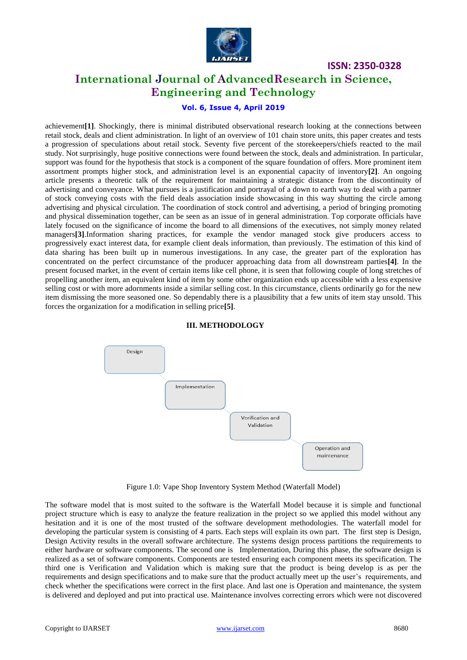

# **International Journal of AdvancedResearch in Science, Engineering and Technology**

# **Vol. 6, Issue 4, April 2019**

achievement**[1]**. Shockingly, there is minimal distributed observational research looking at the connections between retail stock, deals and client administration. In light of an overview of 101 chain store units, this paper creates and tests a progression of speculations about retail stock. Seventy five percent of the storekeepers/chiefs reacted to the mail study. Not surprisingly, huge positive connections were found between the stock, deals and administration. In particular, support was found for the hypothesis that stock is a component of the square foundation of offers. More prominent item assortment prompts higher stock, and administration level is an exponential capacity of inventory**[2]**. An ongoing article presents a theoretic talk of the requirement for maintaining a strategic distance from the discontinuity of advertising and conveyance. What pursues is a justification and portrayal of a down to earth way to deal with a partner of stock conveying costs with the field deals association inside showcasing in this way shutting the circle among advertising and physical circulation. The coordination of stock control and advertising, a period of bringing promoting and physical dissemination together, can be seen as an issue of in general administration. Top corporate officials have lately focused on the significance of income the board to all dimensions of the executives, not simply money related managers**[3]**.Information sharing practices, for example the vendor managed stock give producers access to progressively exact interest data, for example client deals information, than previously. The estimation of this kind of data sharing has been built up in numerous investigations. In any case, the greater part of the exploration has concentrated on the perfect circumstance of the producer approaching data from all downstream parties**[4]**. In the present focused market, in the event of certain items like cell phone, it is seen that following couple of long stretches of propelling another item, an equivalent kind of item by some other organization ends up accessible with a less expensive selling cost or with more adornments inside a similar selling cost. In this circumstance, clients ordinarily go for the new item dismissing the more seasoned one. So dependably there is a plausibility that a few units of item stay unsold. This forces the organization for a modification in selling price**[5]**.



#### **III. METHODOLOGY**

Figure 1.0: Vape Shop Inventory System Method (Waterfall Model)

The software model that is most suited to the software is the Waterfall Model because it is simple and functional project structure which is easy to analyze the feature realization in the project so we applied this model without any hesitation and it is one of the most trusted of the software development methodologies. The waterfall model for developing the particular system is consisting of 4 parts. Each steps will explain its own part. The first step is Design, Design Activity results in the overall software architecture. The systems design process partitions the requirements to either hardware or software components. The second one is Implementation, During this phase, the software design is realized as a set of software components. Components are tested ensuring each component meets its specification. The third one is Verification and Validation which is making sure that the product is being develop is as per the requirements and design specifications and to make sure that the product actually meet up the user's requirements, and check whether the specifications were correct in the first place. And last one is Operation and maintenance, the system is delivered and deployed and put into practical use. Maintenance involves correcting errors which were not discovered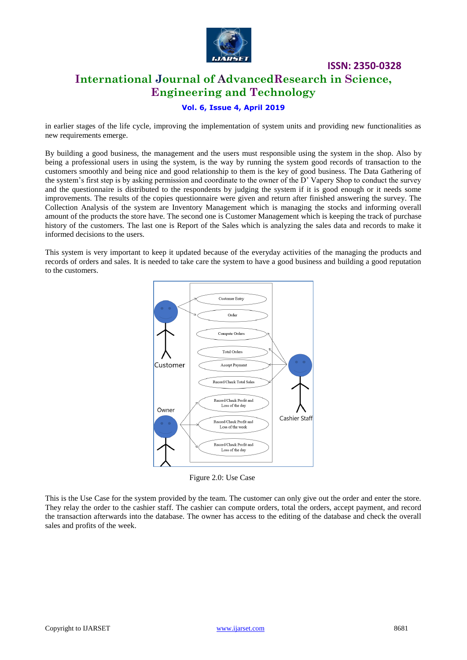

# **International Journal of AdvancedResearch in Science, Engineering and Technology**

**ISSN: 2350-0328**

### **Vol. 6, Issue 4, April 2019**

in earlier stages of the life cycle, improving the implementation of system units and providing new functionalities as new requirements emerge.

By building a good business, the management and the users must responsible using the system in the shop. Also by being a professional users in using the system, is the way by running the system good records of transaction to the customers smoothly and being nice and good relationship to them is the key of good business. The Data Gathering of the system's first step is by asking permission and coordinate to the owner of the D' Vapery Shop to conduct the survey and the questionnaire is distributed to the respondents by judging the system if it is good enough or it needs some improvements. The results of the copies questionnaire were given and return after finished answering the survey. The Collection Analysis of the system are Inventory Management which is managing the stocks and informing overall amount of the products the store have. The second one is Customer Management which is keeping the track of purchase history of the customers. The last one is Report of the Sales which is analyzing the sales data and records to make it informed decisions to the users.

This system is very important to keep it updated because of the everyday activities of the managing the products and records of orders and sales. It is needed to take care the system to have a good business and building a good reputation to the customers.



Figure 2.0: Use Case

This is the Use Case for the system provided by the team. The customer can only give out the order and enter the store. They relay the order to the cashier staff. The cashier can compute orders, total the orders, accept payment, and record the transaction afterwards into the database. The owner has access to the editing of the database and check the overall sales and profits of the week.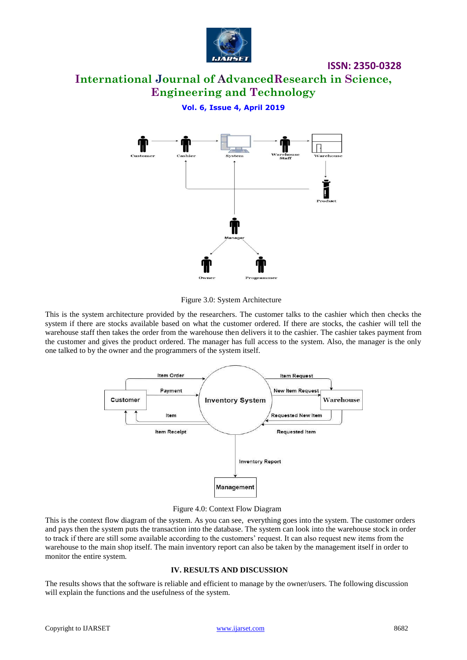

# **International Journal of AdvancedResearch in Science, Engineering and Technology**

# **Vol. 6, Issue 4, April 2019**



Figure 3.0: System Architecture

This is the system architecture provided by the researchers. The customer talks to the cashier which then checks the system if there are stocks available based on what the customer ordered. If there are stocks, the cashier will tell the warehouse staff then takes the order from the warehouse then delivers it to the cashier. The cashier takes payment from the customer and gives the product ordered. The manager has full access to the system. Also, the manager is the only one talked to by the owner and the programmers of the system itself.



Figure 4.0: Context Flow Diagram

This is the context flow diagram of the system. As you can see, everything goes into the system. The customer orders and pays then the system puts the transaction into the database. The system can look into the warehouse stock in order to track if there are still some available according to the customers' request. It can also request new items from the warehouse to the main shop itself. The main inventory report can also be taken by the management itself in order to monitor the entire system.

#### **IV. RESULTS AND DISCUSSION**

The results shows that the software is reliable and efficient to manage by the owner/users. The following discussion will explain the functions and the usefulness of the system.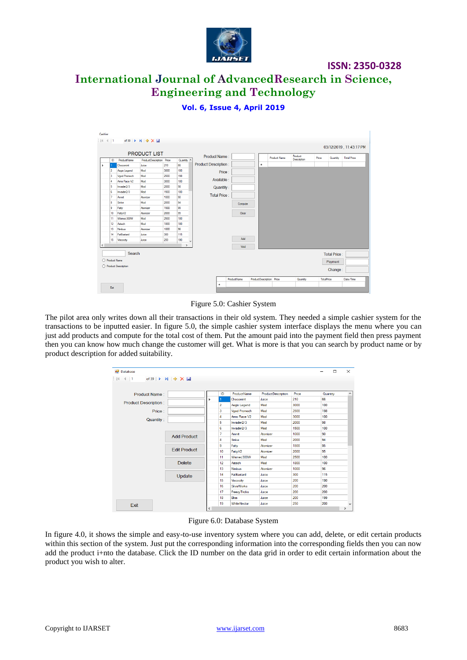

# **International Journal of AdvancedResearch in Science, Engineering and Technology**

**ISSN: 2350-0328**

## **Vol. 6, Issue 4, April 2019**

|                                     |                |                             | <b>PRODUCT LIST</b>      |             |            | Product Name:               |                    |                          | <b>Product Name</b> | Product     | Price             | Quantity            | <b>Total Price</b> |
|-------------------------------------|----------------|-----------------------------|--------------------------|-------------|------------|-----------------------------|--------------------|--------------------------|---------------------|-------------|-------------------|---------------------|--------------------|
|                                     | ID             | ProductName                 | ProductDescription Price |             | Quantity ^ |                             |                    |                          |                     | Description |                   |                     |                    |
|                                     |                | Chocomint                   | Juice                    | 210         | 66         | <b>Product Description:</b> |                    | $\bullet$                |                     |             |                   |                     |                    |
|                                     | $\overline{2}$ | Aegis Legend                | Mod                      | 3000        | 100        | Price:                      |                    |                          |                     |             |                   |                     |                    |
|                                     | 3              | Vgod Promech                | Mod                      | 2500        | 198        | Available :                 |                    |                          |                     |             |                   |                     |                    |
|                                     | 4              | Arms Race V2                | Mod                      | 3000        | 100        |                             |                    |                          |                     |             |                   |                     |                    |
|                                     | 5              | Invader2/3                  | Mod                      | 2000        | 98         | Quantity:                   |                    |                          |                     |             |                   |                     |                    |
|                                     | 6              | Invader2/3                  | Mod                      | 1500        | 100        | Total Price:                |                    |                          |                     |             |                   |                     |                    |
|                                     | 7              | Ammit                       | Atomizer                 | 1000        | 90         |                             |                    |                          |                     |             |                   |                     |                    |
|                                     | 8              | Smke                        | Mod                      | 2000        | 94         |                             | Compute            |                          |                     |             |                   |                     |                    |
|                                     | l9.            | Fatty                       | Atomizer                 | 1500        | 95         |                             |                    |                          |                     |             |                   |                     |                    |
|                                     | 10             | FattyV2                     | Atomizer                 | 2000        | 95         |                             | Clear              |                          |                     |             |                   |                     |                    |
|                                     | 11             | Wismec300W                  | Mod                      | 2500        | 100        |                             |                    |                          |                     |             |                   |                     |                    |
|                                     | 12             | Astech                      | Mod                      | 1800        | 100<br>96  |                             |                    |                          |                     |             |                   |                     |                    |
|                                     | 13<br>14       | <b>Nimbus</b><br>FatBastard | Atomizer<br>Juice        | 1000<br>300 | 115        |                             |                    |                          |                     |             |                   |                     |                    |
|                                     | 15             |                             | Juice                    | 200         | 190        |                             | Add                |                          |                     |             |                   |                     |                    |
|                                     |                | Viscocity                   |                          |             | $\lambda$  |                             |                    |                          |                     |             |                   |                     |                    |
| $\epsilon$<br>$\rightarrow$<br>Void |                |                             |                          |             |            |                             |                    |                          |                     |             |                   |                     |                    |
| Search                              |                |                             |                          |             |            |                             |                    |                          |                     |             |                   | <b>Total Price:</b> |                    |
| O Product Name                      |                |                             |                          |             |            |                             |                    |                          |                     |             |                   | Payment             |                    |
|                                     |                | ◯ Product Description       |                          |             |            |                             |                    |                          |                     |             |                   | Change:             |                    |
|                                     |                |                             |                          |             |            |                             | <b>ProductName</b> | ProductDescription Price |                     | Quantity    | <b>TotalPrice</b> |                     | Date/Time          |
|                                     |                |                             |                          |             |            | ٠                           |                    |                          |                     |             |                   |                     |                    |

Figure 5.0: Cashier System

The pilot area only writes down all their transactions in their old system. They needed a simple cashier system for the transactions to be inputted easier. In figure 5.0, the simple cashier system interface displays the menu where you can just add products and compute for the total cost of them. Put the amount paid into the payment field then press payment then you can know how much change the customer will get. What is more is that you can search by product name or by product description for added suitability.

| <b>Database</b>                                       |                     |              |                  |                      |                     |       | п               | $\times$      |
|-------------------------------------------------------|---------------------|--------------|------------------|----------------------|---------------------|-------|-----------------|---------------|
| ÷ ∥∢<br>$\leftarrow$ 1<br>of 39 $\blacktriangleright$ | $M + X$             |              |                  |                      |                     |       |                 |               |
|                                                       |                     |              |                  |                      |                     |       |                 |               |
| Product Name:                                         |                     |              | ID               | <b>ProductName</b>   | Product Description | Price | Quantity        | $\wedge$      |
| <b>Product Description:</b>                           |                     |              |                  | Chocomint            | Juice               | 210   | 66              |               |
|                                                       |                     |              | $\overline{2}$   | Aegis Legend         | Mod                 | 3000  | 100             |               |
| Price:                                                |                     |              | 3                | <b>Vgod Promech</b>  | Mod                 | 2500  | 198             |               |
|                                                       |                     |              | 4                | Ams Race V2          | Mod                 | 3000  | 100             |               |
| <b>Quantity:</b>                                      |                     |              | 5                | Invader2/3           | Mod                 | 2000  | 98              |               |
|                                                       |                     |              | 6                | Invader2/3           | Mod                 | 1500  | 100             |               |
|                                                       | <b>Add Product</b>  |              | 7                | Ammit                | Atomizer            | 1000  | 90 <sub>1</sub> |               |
|                                                       |                     |              | 8                | Smke                 | Mod                 | 2000  | 94              |               |
|                                                       | <b>Edit Product</b> |              | 9                | Fatty                | Atomizer            | 1500  | 95              |               |
|                                                       |                     |              | 10               | FattyV2              | Atomizer            | 2000  | 95              |               |
|                                                       | <b>Delete</b>       |              | 11               | Wismec300W           | Mod                 | 2500  | 100             |               |
|                                                       |                     |              | 12 <sup>2</sup>  | Astech               | Mod                 | 1800  | 100             |               |
|                                                       |                     |              | 13               | <b>Nimbus</b>        | Atomizer            | 1000  | 96              |               |
|                                                       | Update              |              | 14               | <b>FatBastard</b>    | Juice               | 300   | 115             |               |
|                                                       |                     | 15           | <b>Viscocity</b> | Juice                | 200                 | 190   |                 |               |
|                                                       |                     |              | 16               | <b>SilvisWorks</b>   | Juice               | 200   | 200             |               |
|                                                       |                     |              | 17               | <b>Freezy Tricks</b> | Juice               | 200   | 200             |               |
|                                                       |                     |              | 18               | <b>Bliss</b>         | Juice               | 200   | 199             |               |
|                                                       |                     |              | 19               | WhiteNectar          | Juice               | 250   | 200             | $\checkmark$  |
| Exit                                                  |                     | $\checkmark$ |                  |                      |                     |       |                 | $\rightarrow$ |

Figure 6.0: Database System

In figure 4.0, it shows the simple and easy-to-use inventory system where you can add, delete, or edit certain products within this section of the system. Just put the corresponding information into the corresponding fields then you can now add the product i+nto the database. Click the ID number on the data grid in order to edit certain information about the product you wish to alter.